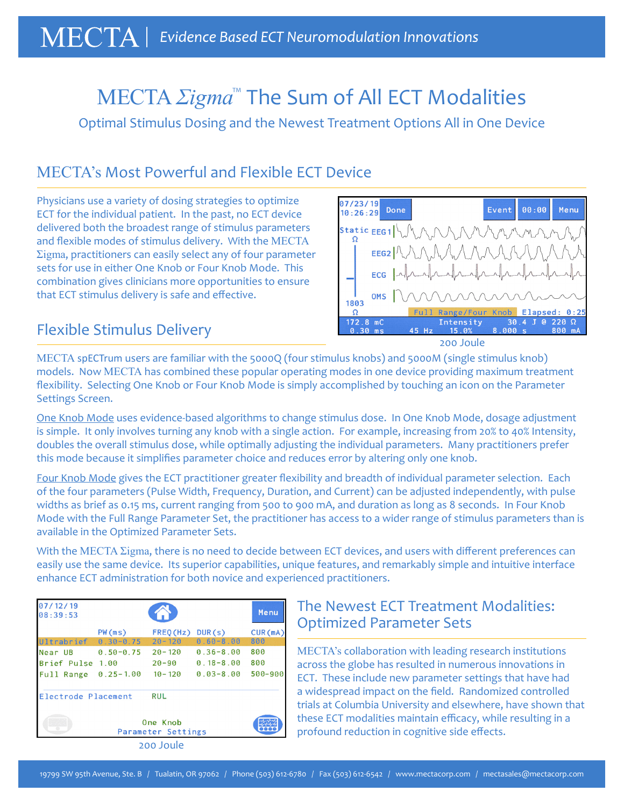# MECTA *Σigma*™ The Sum of All ECT Modalities

Optimal Stimulus Dosing and the Newest Treatment Options All in One Device

# MECTA's Most Powerful and Flexible ECT Device

Physicians use a variety of dosing strategies to optimize ECT for the individual patient. In the past, no ECT device delivered both the broadest range of stimulus parameters and flexible modes of stimulus delivery. With the MECTA Σigma, practitioners can easily select any of four parameter sets for use in either One Knob or Four Knob Mode. This combination gives clinicians more opportunities to ensure that ECT stimulus delivery is safe and effective.

### Flexible Stimulus Delivery

07/23/19 Event  $00:00$ Menu Done  $10:26:29$ Static  $EEG1$ EEG2  $ECG$  $OMS$ 1803  $\Omega$ **Elapsed**  $172.8$  mC  $30.4$ J @  $220 \Omega$ Intensity 45 Hz nnn

200 Joule

MECTA spECTrum users are familiar with the 5000Q (four stimulus knobs) and 5000M (single stimulus knob) models. Now MECTA has combined these popular operating modes in one device providing maximum treatment flexibility. Selecting One Knob or Four Knob Mode is simply accomplished by touching an icon on the Parameter Settings Screen.

One Knob Mode uses evidence-based algorithms to change stimulus dose. In One Knob Mode, dosage adjustment is simple. It only involves turning any knob with a single action. For example, increasing from 20% to 40% Intensity, doubles the overall stimulus dose, while optimally adjusting the individual parameters. Many practitioners prefer this mode because it simplifies parameter choice and reduces error by altering only one knob.

Four Knob Mode gives the ECT practitioner greater flexibility and breadth of individual parameter selection. Each of the four parameters (Pulse Width, Frequency, Duration, and Current) can be adjusted independently, with pulse widths as brief as 0.15 ms, current ranging from 500 to 900 mA, and duration as long as 8 seconds. In Four Knob Mode with the Full Range Parameter Set, the practitioner has access to a wider range of stimulus parameters than is available in the Optimized Parameter Sets.

With the MECTA Σigma, there is no need to decide between ECT devices, and users with different preferences can easily use the same device. Its superior capabilities, unique features, and remarkably simple and intuitive interface enhance ECT administration for both novice and experienced practitioners.

| 07/12/19<br>08:39:53                 |                                        |                                       |                                                 | Menu                  |  |  |  |
|--------------------------------------|----------------------------------------|---------------------------------------|-------------------------------------------------|-----------------------|--|--|--|
| Ultrabrief                           | PW(ms)<br>$0.30 - 0.75$                | FRED(Hz)<br>$20 - 120$                | DUR(s)<br>$0.60 - 8.00$                         | CUR(mA)<br>800        |  |  |  |
| Near UB<br>Brief Pulse<br>Full Range | $0.50 - 0.75$<br>1.00<br>$0.25 - 1.00$ | $20 - 120$<br>$20 - 90$<br>$10 - 120$ | $0.36 - 8.00$<br>$0.18 - 8.00$<br>$0.03 - 8.00$ | 800<br>800<br>500-900 |  |  |  |
| Electrode Placement                  |                                        | <b>RUL</b>                            |                                                 |                       |  |  |  |
|                                      |                                        |                                       |                                                 |                       |  |  |  |
| 200 Joule                            |                                        |                                       |                                                 |                       |  |  |  |

## The Newest ECT Treatment Modalities: Optimized Parameter Sets

MECTA's collaboration with leading research institutions across the globe has resulted in numerous innovations in ECT. These include new parameter settings that have had a widespread impact on the field. Randomized controlled trials at Columbia University and elsewhere, have shown that these ECT modalities maintain efficacy, while resulting in a profound reduction in cognitive side effects.